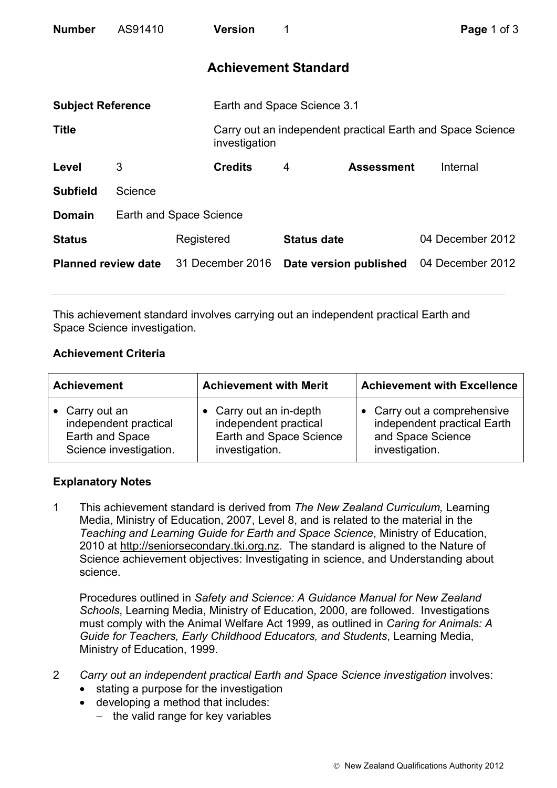| <b>Number</b>              | AS91410 |                         | <b>Version</b>              | 1                  |                        | Page 1 of 3                                                |  |
|----------------------------|---------|-------------------------|-----------------------------|--------------------|------------------------|------------------------------------------------------------|--|
|                            |         |                         | <b>Achievement Standard</b> |                    |                        |                                                            |  |
| <b>Subject Reference</b>   |         |                         | Earth and Space Science 3.1 |                    |                        |                                                            |  |
| <b>Title</b>               |         |                         | investigation               |                    |                        | Carry out an independent practical Earth and Space Science |  |
| Level                      | 3       |                         | <b>Credits</b>              | 4                  | <b>Assessment</b>      | Internal                                                   |  |
| <b>Subfield</b>            | Science |                         |                             |                    |                        |                                                            |  |
| <b>Domain</b>              |         | Earth and Space Science |                             |                    |                        |                                                            |  |
| <b>Status</b>              |         | Registered              |                             | <b>Status date</b> |                        | 04 December 2012                                           |  |
| <b>Planned review date</b> |         |                         | 31 December 2016            |                    | Date version published | 04 December 2012                                           |  |

This achievement standard involves carrying out an independent practical Earth and Space Science investigation.

## **Achievement Criteria**

| <b>Achievement</b>     | <b>Achievement with Merit</b> | <b>Achievement with Excellence</b> |  |  |
|------------------------|-------------------------------|------------------------------------|--|--|
| • Carry out an         | Carry out an in-depth         | • Carry out a comprehensive        |  |  |
| independent practical  | independent practical         | independent practical Earth        |  |  |
| Earth and Space        | Earth and Space Science       | and Space Science                  |  |  |
| Science investigation. | investigation.                | investigation.                     |  |  |

## **Explanatory Notes**

1 This achievement standard is derived from *The New Zealand Curriculum,* Learning Media, Ministry of Education, 2007, Level 8, and is related to the material in the *Teaching and Learning Guide for Earth and Space Science*, Ministry of Education, 2010 at http://seniorsecondary.tki.org.nz. The standard is aligned to the Nature of Science achievement objectives: Investigating in science, and Understanding about science.

Procedures outlined in *Safety and Science: A Guidance Manual for New Zealand Schools*, Learning Media, Ministry of Education, 2000, are followed. Investigations must comply with the Animal Welfare Act 1999, as outlined in *Caring for Animals: A Guide for Teachers, Early Childhood Educators, and Students*, Learning Media, Ministry of Education, 1999.

- 2 *Carry out an independent practical Earth and Space Science investigation* involves:
	- stating a purpose for the investigation
	- developing a method that includes:
		- − the valid range for key variables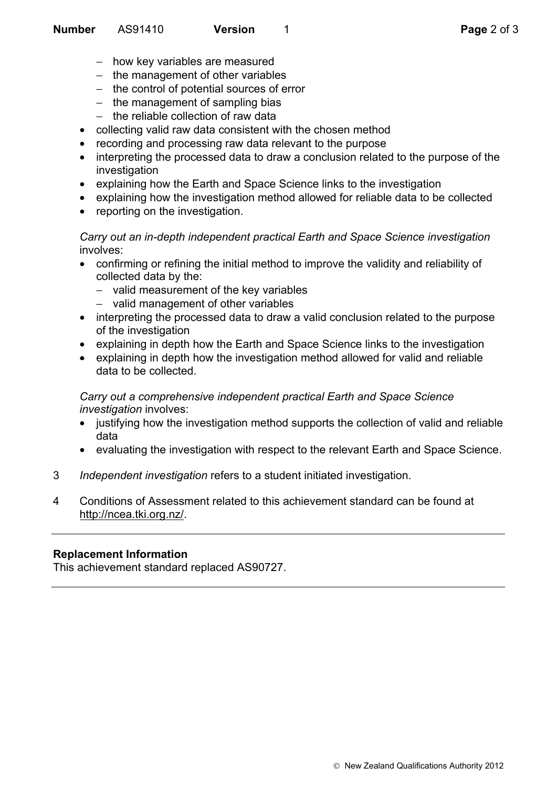- − how key variables are measured
- − the management of other variables
- − the control of potential sources of error
- − the management of sampling bias
- − the reliable collection of raw data
- collecting valid raw data consistent with the chosen method
- recording and processing raw data relevant to the purpose
- interpreting the processed data to draw a conclusion related to the purpose of the investigation
- explaining how the Earth and Space Science links to the investigation
- explaining how the investigation method allowed for reliable data to be collected
- reporting on the investigation.

*Carry out an in-depth independent practical Earth and Space Science investigation* involves:

- confirming or refining the initial method to improve the validity and reliability of collected data by the:
	- − valid measurement of the key variables
	- − valid management of other variables
- interpreting the processed data to draw a valid conclusion related to the purpose of the investigation
- explaining in depth how the Earth and Space Science links to the investigation
- explaining in depth how the investigation method allowed for valid and reliable data to be collected.

*Carry out a comprehensive independent practical Earth and Space Science investigation* involves:

- justifying how the investigation method supports the collection of valid and reliable data
- evaluating the investigation with respect to the relevant Earth and Space Science.
- 3 *Independent investigation* refers to a student initiated investigation.
- 4 Conditions of Assessment related to this achievement standard can be found at http://ncea.tki.org.nz/.

## **Replacement Information**

This achievement standard replaced AS90727.